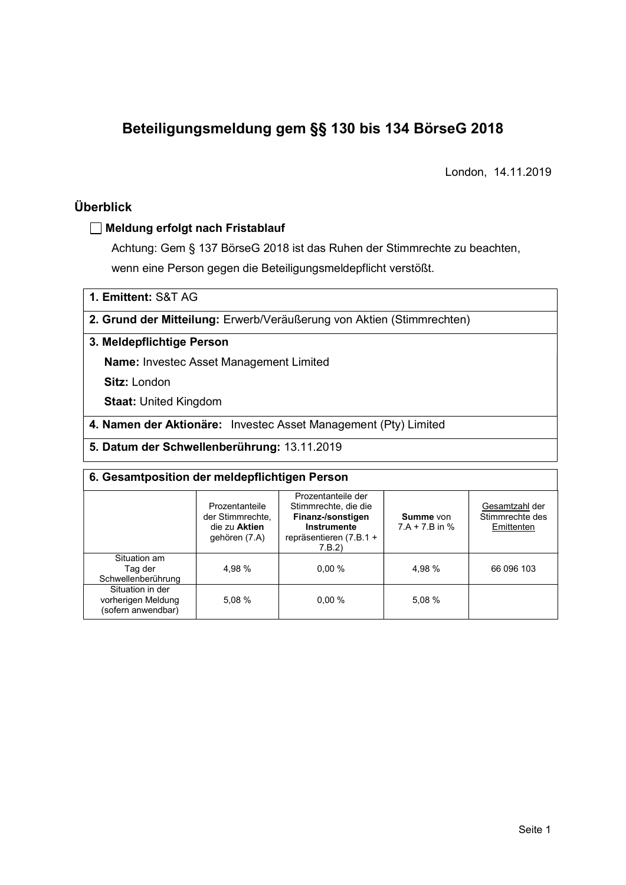# Beteiligungsmeldung gem §§ 130 bis 134 BörseG 2018

London, 14.11.2019

# Überblick

### Meldung erfolgt nach Fristablauf

Achtung: Gem § 137 BörseG 2018 ist das Ruhen der Stimmrechte zu beachten, wenn eine Person gegen die Beteiligungsmeldepflicht verstößt.

1. Emittent: S&T AG

### 2. Grund der Mitteilung: Erwerb/Veräußerung von Aktien (Stimmrechten)

### 3. Meldepflichtige Person

Name: Investec Asset Management Limited

Sitz: London

Staat: United Kingdom

4. Namen der Aktionäre: Investec Asset Management (Pty) Limited

5. Datum der Schwellenberührung: 13.11.2019

| 6. Gesamtposition der meldepflichtigen Person                |                                                                      |                                                                                                                      |                               |                                                 |  |  |  |
|--------------------------------------------------------------|----------------------------------------------------------------------|----------------------------------------------------------------------------------------------------------------------|-------------------------------|-------------------------------------------------|--|--|--|
|                                                              | Prozentanteile<br>der Stimmrechte.<br>die zu Aktien<br>gehören (7.A) | Prozentanteile der<br>Stimmrechte, die die<br>Finanz-/sonstigen<br>Instrumente<br>repräsentieren $(7.B.1 +$<br>7.B.2 | Summe von<br>$7.A + 7.B$ in % | Gesamtzahl der<br>Stimmrechte des<br>Emittenten |  |  |  |
| Situation am<br>Tag der<br>Schwellenberührung                | 4.98 %                                                               | 0.00%                                                                                                                | 4.98 %                        | 66 096 103                                      |  |  |  |
| Situation in der<br>vorherigen Meldung<br>(sofern anwendbar) | 5.08 %                                                               | 0.00%                                                                                                                | 5,08 %                        |                                                 |  |  |  |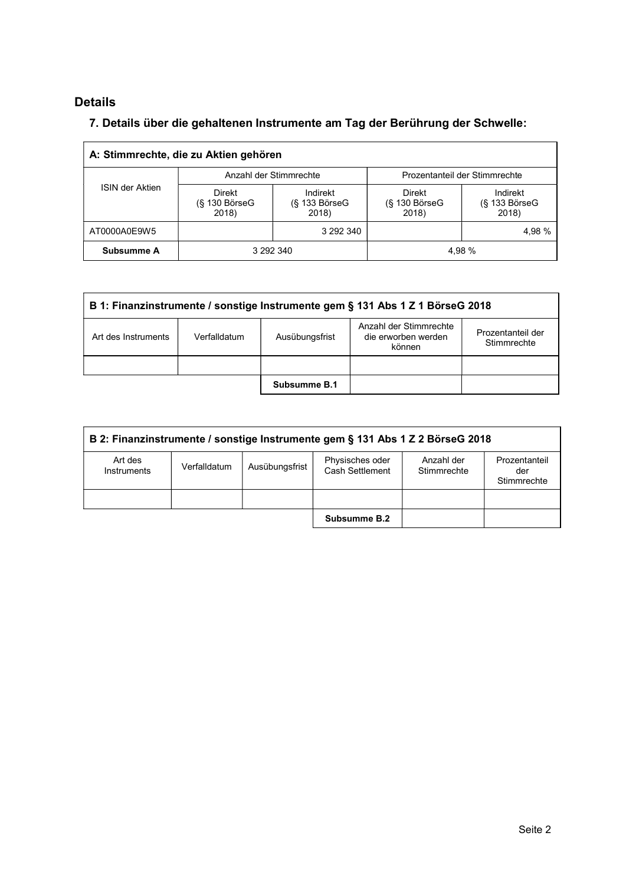# Details

# 7. Details über die gehaltenen Instrumente am Tag der Berührung der Schwelle:

|                 | A: Stimmrechte, die zu Aktien gehören   |                                         |                                         |                                    |
|-----------------|-----------------------------------------|-----------------------------------------|-----------------------------------------|------------------------------------|
|                 | Anzahl der Stimmrechte                  |                                         | Prozentanteil der Stimmrechte           |                                    |
| ISIN der Aktien | <b>Direkt</b><br>(§ 130 BörseG<br>2018) | Indirekt<br>$(S$ 133 Börse $G$<br>2018) | <b>Direkt</b><br>(§ 130 BörseG<br>2018) | Indirekt<br>(§ 133 BörseG<br>2018) |
| AT0000A0E9W5    |                                         | 3 292 340                               |                                         | 4,98 %                             |
| Subsumme A      | 3 292 340                               |                                         | 4,98 %                                  |                                    |

| B 1: Finanzinstrumente / sonstige Instrumente gem § 131 Abs 1 Z 1 BörseG 2018 |                                |              |                                                         |                                  |  |  |
|-------------------------------------------------------------------------------|--------------------------------|--------------|---------------------------------------------------------|----------------------------------|--|--|
| Art des Instruments                                                           | Ausübungsfrist<br>Verfalldatum |              | Anzahl der Stimmrechte<br>die erworben werden<br>können | Prozentanteil der<br>Stimmrechte |  |  |
|                                                                               |                                |              |                                                         |                                  |  |  |
|                                                                               |                                | Subsumme B.1 |                                                         |                                  |  |  |

| B 2: Finanzinstrumente / sonstige Instrumente gem § 131 Abs 1 Z 2 BörseG 2018 |              |                |                                    |                           |                                     |  |
|-------------------------------------------------------------------------------|--------------|----------------|------------------------------------|---------------------------|-------------------------------------|--|
| Art des<br>Instruments                                                        | Verfalldatum | Ausübungsfrist | Physisches oder<br>Cash Settlement | Anzahl der<br>Stimmrechte | Prozentanteil<br>der<br>Stimmrechte |  |
|                                                                               |              |                |                                    |                           |                                     |  |
|                                                                               |              |                | Subsumme B.2                       |                           |                                     |  |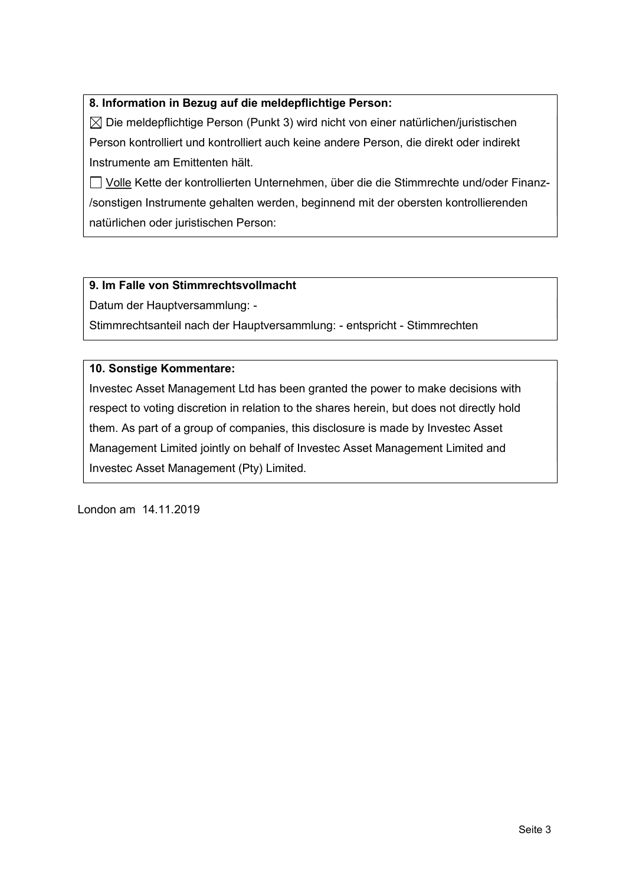### 8. Information in Bezug auf die meldepflichtige Person:

 $\boxtimes$  Die meldepflichtige Person (Punkt 3) wird nicht von einer natürlichen/juristischen Person kontrolliert und kontrolliert auch keine andere Person, die direkt oder indirekt Instrumente am Emittenten hält.

 Volle Kette der kontrollierten Unternehmen, über die die Stimmrechte und/oder Finanz- /sonstigen Instrumente gehalten werden, beginnend mit der obersten kontrollierenden natürlichen oder juristischen Person:

### 9. Im Falle von Stimmrechtsvollmacht

Datum der Hauptversammlung: -

Stimmrechtsanteil nach der Hauptversammlung: - entspricht - Stimmrechten

### 10. Sonstige Kommentare:

Investec Asset Management Ltd has been granted the power to make decisions with respect to voting discretion in relation to the shares herein, but does not directly hold them. As part of a group of companies, this disclosure is made by Investec Asset Management Limited jointly on behalf of Investec Asset Management Limited and Investec Asset Management (Pty) Limited.

London am 14.11.2019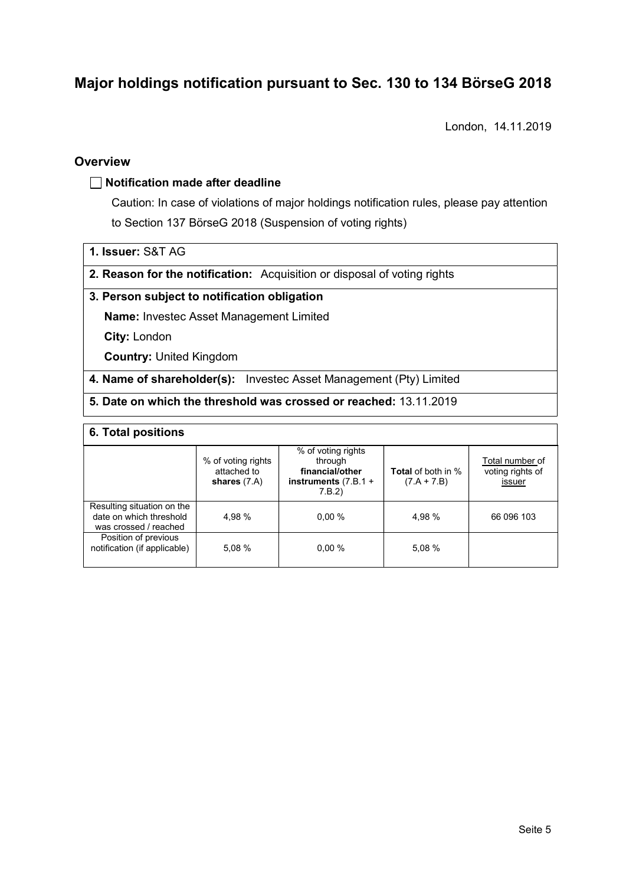# Major holdings notification pursuant to Sec. 130 to 134 BörseG 2018<br>London, 14.11.2019

London, 14.11.2019

### **Overview**

### $\Box$  Notification made after deadline

Caution: In case of violations of major holdings notification rules, please pay attention to Section 137 BörseG 2018 (Suspension of voting rights)

1. Issuer: S&T AG

2. Reason for the notification: Acquisition or disposal of voting rights

### 3. Person subject to notification obligation

Name: Investec Asset Management Limited

City: London

Country: United Kingdom

4. Name of shareholder(s): Investec Asset Management (Pty) Limited

### 5. Date on which the threshold was crossed or reached: 13.11.2019

### 6. Total positions

|                                                                                | % of voting rights<br>attached to<br>shares $(7.A)$ | % of voting rights<br>through<br>financial/other<br>instruments $(7.B.1 +$<br>7.B.2) | <b>Total</b> of both in %<br>$(7.A + 7.B)$ | Total number of<br>voting rights of<br><u>issuer</u> |
|--------------------------------------------------------------------------------|-----------------------------------------------------|--------------------------------------------------------------------------------------|--------------------------------------------|------------------------------------------------------|
| Resulting situation on the<br>date on which threshold<br>was crossed / reached | 4.98 %                                              | $0.00 \%$                                                                            | 4,98 %                                     | 66 096 103                                           |
| Position of previous<br>notification (if applicable)                           | 5.08 %                                              | $0.00 \%$                                                                            | 5,08 %                                     |                                                      |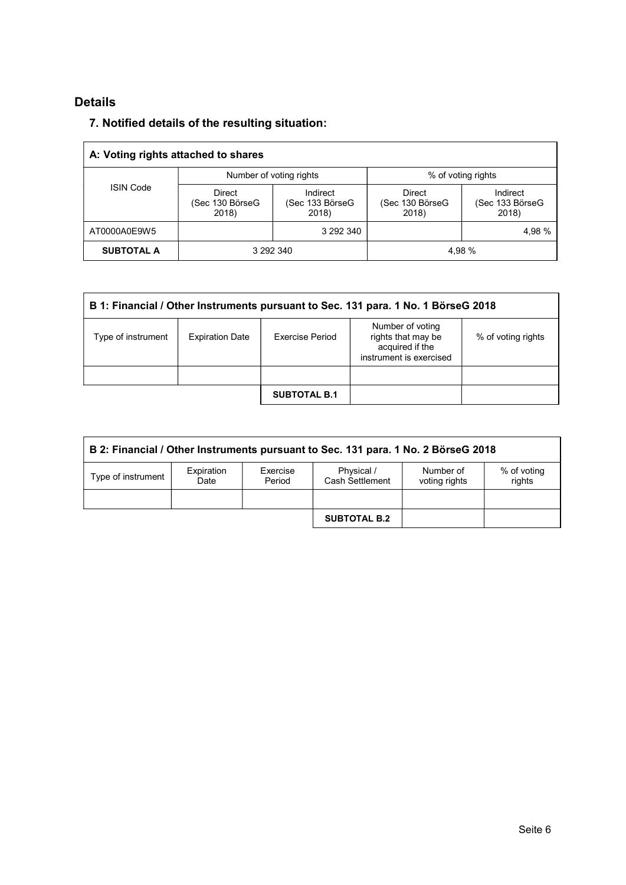# Details

# 7. Notified details of the resulting situation:

|                   | A: Voting rights attached to shares |                                      |                                           |                                      |
|-------------------|-------------------------------------|--------------------------------------|-------------------------------------------|--------------------------------------|
|                   | Number of voting rights             |                                      | % of voting rights                        |                                      |
| <b>ISIN Code</b>  | Direct<br>(Sec 130 BörseG<br>2018)  | Indirect<br>(Sec 133 BörseG<br>2018) | <b>Direct</b><br>(Sec 130 BörseG<br>2018) | Indirect<br>(Sec 133 BörseG<br>2018) |
| AT0000A0E9W5      |                                     | 3 292 340                            |                                           | 4,98 %                               |
| <b>SUBTOTAL A</b> | 3 292 340                           |                                      | 4,98 %                                    |                                      |

| B 1: Financial / Other Instruments pursuant to Sec. 131 para. 1 No. 1 BörseG 2018 |                        |                     |                                                                                      |                    |  |  |
|-----------------------------------------------------------------------------------|------------------------|---------------------|--------------------------------------------------------------------------------------|--------------------|--|--|
| Type of instrument                                                                | <b>Expiration Date</b> | Exercise Period     | Number of voting<br>rights that may be<br>acquired if the<br>instrument is exercised | % of voting rights |  |  |
|                                                                                   |                        |                     |                                                                                      |                    |  |  |
|                                                                                   |                        | <b>SUBTOTAL B.1</b> |                                                                                      |                    |  |  |

| B 2: Financial / Other Instruments pursuant to Sec. 131 para. 1 No. 2 BörseG 2018 |                    |                    |                    |                               |                            |                       |
|-----------------------------------------------------------------------------------|--------------------|--------------------|--------------------|-------------------------------|----------------------------|-----------------------|
|                                                                                   | Type of instrument | Expiration<br>Date | Exercise<br>Period | Physical /<br>Cash Settlement | Number of<br>voting rights | % of voting<br>rights |
|                                                                                   |                    |                    |                    | <b>SUBTOTAL B.2</b>           |                            |                       |